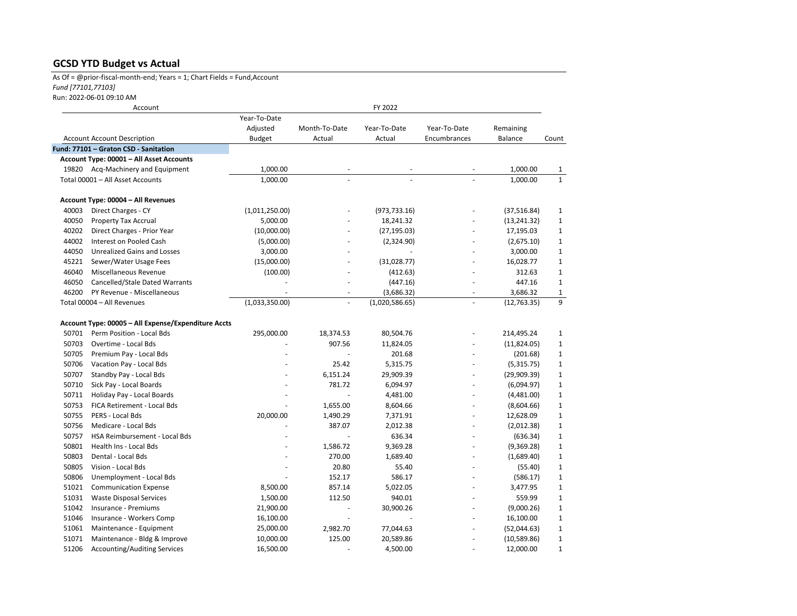## **GCSD YTD Budget vs Actual**

As Of = @prior-fiscal-month-end; Years = 1; Chart Fields = Fund,Account *Fund [77101,77103]*

Run: 2022-06-01 09:10 AM

|       | Account                                             |                |               | FY 2022        |              |              |              |
|-------|-----------------------------------------------------|----------------|---------------|----------------|--------------|--------------|--------------|
|       |                                                     | Year-To-Date   |               |                |              |              |              |
|       |                                                     | Adjusted       | Month-To-Date | Year-To-Date   | Year-To-Date | Remaining    |              |
|       | <b>Account Account Description</b>                  | <b>Budget</b>  | Actual        | Actual         | Encumbrances | Balance      | Count        |
|       | Fund: 77101 - Graton CSD - Sanitation               |                |               |                |              |              |              |
|       | Account Type: 00001 - All Asset Accounts            |                |               |                |              |              |              |
| 19820 | Acq-Machinery and Equipment                         | 1,000.00       |               |                |              | 1,000.00     | $\mathbf{1}$ |
|       | Total 00001 - All Asset Accounts                    | 1,000.00       |               |                |              | 1,000.00     | $\mathbf{1}$ |
|       | Account Type: 00004 - All Revenues                  |                |               |                |              |              |              |
| 40003 | Direct Charges - CY                                 | (1,011,250.00) |               | (973, 733.16)  |              | (37, 516.84) | $\mathbf{1}$ |
| 40050 | Property Tax Accrual                                | 5,000.00       |               | 18,241.32      |              | (13, 241.32) | $\mathbf{1}$ |
| 40202 | Direct Charges - Prior Year                         | (10,000.00)    |               | (27, 195.03)   |              | 17,195.03    | 1            |
| 44002 | Interest on Pooled Cash                             | (5,000.00)     |               | (2,324.90)     |              | (2,675.10)   | $\mathbf{1}$ |
| 44050 | <b>Unrealized Gains and Losses</b>                  | 3,000.00       |               |                |              | 3,000.00     | $\mathbf{1}$ |
| 45221 | Sewer/Water Usage Fees                              | (15,000.00)    |               | (31,028.77)    |              | 16,028.77    | $\mathbf{1}$ |
| 46040 | Miscellaneous Revenue                               | (100.00)       |               | (412.63)       |              | 312.63       | $\mathbf{1}$ |
| 46050 | Cancelled/Stale Dated Warrants                      |                |               | (447.16)       |              | 447.16       | $\mathbf{1}$ |
| 46200 | PY Revenue - Miscellaneous                          |                |               | (3,686.32)     |              | 3,686.32     | $\mathbf{1}$ |
|       | Total 00004 - All Revenues                          | (1,033,350.00) | L.            | (1,020,586.65) |              | (12, 763.35) | 9            |
|       | Account Type: 00005 - All Expense/Expenditure Accts |                |               |                |              |              |              |
| 50701 | Perm Position - Local Bds                           | 295,000.00     | 18,374.53     | 80,504.76      |              | 214,495.24   | $\mathbf{1}$ |
| 50703 | Overtime - Local Bds                                |                | 907.56        | 11,824.05      |              | (11,824.05)  | $\mathbf{1}$ |
| 50705 | Premium Pay - Local Bds                             |                |               | 201.68         |              | (201.68)     | $\mathbf{1}$ |
| 50706 | Vacation Pay - Local Bds                            |                | 25.42         | 5,315.75       |              | (5,315.75)   | $\mathbf{1}$ |
| 50707 | Standby Pay - Local Bds                             |                | 6,151.24      | 29,909.39      |              | (29,909.39)  | $\mathbf{1}$ |
| 50710 | Sick Pay - Local Boards                             |                | 781.72        | 6,094.97       |              | (6,094.97)   | $\mathbf{1}$ |
| 50711 | Holiday Pay - Local Boards                          |                |               | 4,481.00       |              | (4,481.00)   | $\,1\,$      |
| 50753 | FICA Retirement - Local Bds                         |                | 1,655.00      | 8,604.66       |              | (8,604.66)   | $\mathbf{1}$ |
| 50755 | PERS - Local Bds                                    | 20,000.00      | 1,490.29      | 7,371.91       |              | 12,628.09    | $\mathbf{1}$ |
| 50756 | Medicare - Local Bds                                |                | 387.07        | 2,012.38       |              | (2,012.38)   | $\mathbf{1}$ |
| 50757 | <b>HSA Reimbursement - Local Bds</b>                |                |               | 636.34         |              | (636.34)     | $\mathbf{1}$ |
| 50801 | Health Ins - Local Bds                              |                | 1,586.72      | 9,369.28       |              | (9,369.28)   | $\mathbf{1}$ |
| 50803 | Dental - Local Bds                                  |                | 270.00        | 1,689.40       |              | (1,689.40)   | $\mathbf{1}$ |
| 50805 | Vision - Local Bds                                  |                | 20.80         | 55.40          |              | (55.40)      | $\,1\,$      |
| 50806 | Unemployment - Local Bds                            |                | 152.17        | 586.17         |              | (586.17)     | $\mathbf{1}$ |
| 51021 | <b>Communication Expense</b>                        | 8,500.00       | 857.14        | 5,022.05       |              | 3,477.95     | $\mathbf{1}$ |
| 51031 | <b>Waste Disposal Services</b>                      | 1,500.00       | 112.50        | 940.01         | L.           | 559.99       | $\mathbf{1}$ |
| 51042 | Insurance - Premiums                                | 21,900.00      |               | 30,900.26      |              | (9,000.26)   | $\mathbf{1}$ |
| 51046 | Insurance - Workers Comp                            | 16,100.00      |               |                |              | 16,100.00    | $\mathbf{1}$ |
| 51061 | Maintenance - Equipment                             | 25,000.00      | 2,982.70      | 77,044.63      |              | (52,044.63)  | $\mathbf{1}$ |
| 51071 | Maintenance - Bldg & Improve                        | 10,000.00      | 125.00        | 20,589.86      |              | (10, 589.86) | $\mathbf{1}$ |
| 51206 | <b>Accounting/Auditing Services</b>                 | 16,500.00      |               | 4,500.00       |              | 12,000.00    | $1\,$        |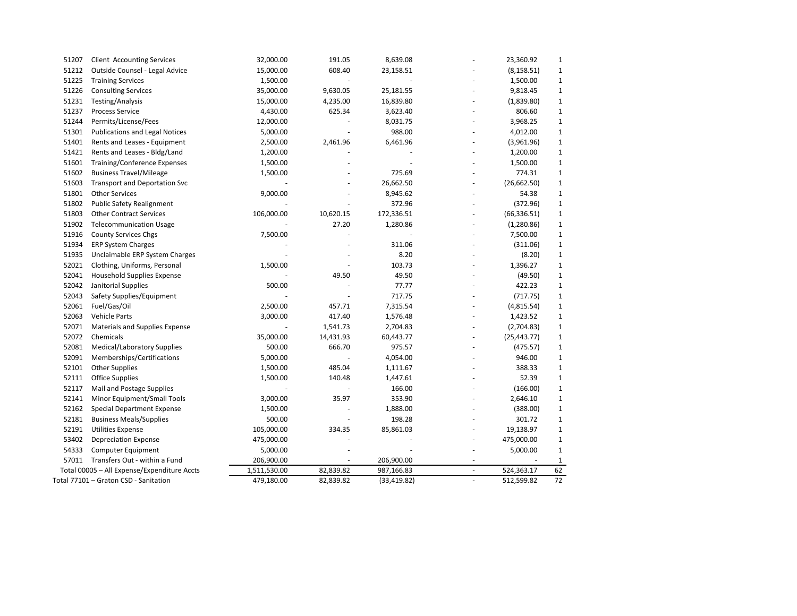| 51207                                 | <b>Client Accounting Services</b>           | 32,000.00    | 191.05    | 8,639.08     |                          | 23,360.92    | $\mathbf{1}$ |
|---------------------------------------|---------------------------------------------|--------------|-----------|--------------|--------------------------|--------------|--------------|
| 51212                                 | Outside Counsel - Legal Advice              | 15,000.00    | 608.40    | 23,158.51    |                          | (8, 158.51)  | $\mathbf{1}$ |
| 51225                                 | <b>Training Services</b>                    | 1,500.00     |           |              |                          | 1,500.00     | $\mathbf{1}$ |
| 51226                                 | <b>Consulting Services</b>                  | 35,000.00    | 9,630.05  | 25,181.55    |                          | 9,818.45     | $\mathbf{1}$ |
| 51231                                 | Testing/Analysis                            | 15,000.00    | 4,235.00  | 16,839.80    |                          | (1,839.80)   | $\mathbf{1}$ |
| 51237                                 | <b>Process Service</b>                      | 4,430.00     | 625.34    | 3,623.40     |                          | 806.60       | $\mathbf{1}$ |
| 51244                                 | Permits/License/Fees                        | 12,000.00    |           | 8,031.75     |                          | 3,968.25     | $\mathbf{1}$ |
| 51301                                 | <b>Publications and Legal Notices</b>       | 5,000.00     |           | 988.00       |                          | 4,012.00     | $\mathbf{1}$ |
| 51401                                 | Rents and Leases - Equipment                | 2,500.00     | 2,461.96  | 6,461.96     |                          | (3,961.96)   | $\mathbf{1}$ |
| 51421                                 | Rents and Leases - Bldg/Land                | 1,200.00     |           |              |                          | 1,200.00     | $\mathbf{1}$ |
| 51601                                 | Training/Conference Expenses                | 1,500.00     |           |              |                          | 1,500.00     | $\mathbf{1}$ |
| 51602                                 | <b>Business Travel/Mileage</b>              | 1,500.00     |           | 725.69       |                          | 774.31       | $\mathbf{1}$ |
| 51603                                 | Transport and Deportation Svc               |              |           | 26,662.50    |                          | (26, 662.50) | $\mathbf{1}$ |
| 51801                                 | <b>Other Services</b>                       | 9,000.00     |           | 8,945.62     |                          | 54.38        | $\mathbf{1}$ |
| 51802                                 | <b>Public Safety Realignment</b>            |              |           | 372.96       |                          | (372.96)     | $\mathbf{1}$ |
| 51803                                 | <b>Other Contract Services</b>              | 106,000.00   | 10,620.15 | 172,336.51   | $\overline{a}$           | (66, 336.51) | $\mathbf{1}$ |
| 51902                                 | <b>Telecommunication Usage</b>              |              | 27.20     | 1,280.86     |                          | (1,280.86)   | $\mathbf{1}$ |
| 51916                                 | <b>County Services Chgs</b>                 | 7,500.00     |           |              |                          | 7,500.00     | $\mathbf{1}$ |
| 51934                                 | <b>ERP System Charges</b>                   |              |           | 311.06       |                          | (311.06)     | $\mathbf{1}$ |
| 51935                                 | Unclaimable ERP System Charges              |              |           | 8.20         |                          | (8.20)       | $\mathbf{1}$ |
| 52021                                 | Clothing, Uniforms, Personal                | 1,500.00     |           | 103.73       |                          | 1,396.27     | $\mathbf{1}$ |
| 52041                                 | Household Supplies Expense                  |              | 49.50     | 49.50        |                          | (49.50)      | $\mathbf{1}$ |
| 52042                                 | Janitorial Supplies                         | 500.00       |           | 77.77        |                          | 422.23       | $\mathbf{1}$ |
| 52043                                 | Safety Supplies/Equipment                   |              |           | 717.75       |                          | (717.75)     | $\mathbf{1}$ |
| 52061                                 | Fuel/Gas/Oil                                | 2,500.00     | 457.71    | 7,315.54     |                          | (4,815.54)   | $\mathbf{1}$ |
| 52063                                 | <b>Vehicle Parts</b>                        | 3,000.00     | 417.40    | 1,576.48     |                          | 1,423.52     | $\mathbf{1}$ |
| 52071                                 | Materials and Supplies Expense              |              | 1,541.73  | 2,704.83     |                          | (2,704.83)   | $\mathbf{1}$ |
| 52072                                 | Chemicals                                   | 35,000.00    | 14,431.93 | 60,443.77    |                          | (25, 443.77) | $\mathbf{1}$ |
| 52081                                 | Medical/Laboratory Supplies                 | 500.00       | 666.70    | 975.57       |                          | (475.57)     | $\mathbf{1}$ |
| 52091                                 | Memberships/Certifications                  | 5,000.00     |           | 4,054.00     |                          | 946.00       | $\mathbf{1}$ |
| 52101                                 | <b>Other Supplies</b>                       | 1,500.00     | 485.04    | 1,111.67     |                          | 388.33       | $\mathbf{1}$ |
| 52111                                 | <b>Office Supplies</b>                      | 1,500.00     | 140.48    | 1,447.61     |                          | 52.39        | $\mathbf{1}$ |
| 52117                                 | Mail and Postage Supplies                   |              |           | 166.00       |                          | (166.00)     | $\mathbf{1}$ |
| 52141                                 | Minor Equipment/Small Tools                 | 3,000.00     | 35.97     | 353.90       |                          | 2,646.10     | $\mathbf{1}$ |
| 52162                                 | Special Department Expense                  | 1,500.00     |           | 1,888.00     |                          | (388.00)     | $\mathbf{1}$ |
| 52181                                 | <b>Business Meals/Supplies</b>              | 500.00       |           | 198.28       |                          | 301.72       | $\mathbf{1}$ |
| 52191                                 | <b>Utilities Expense</b>                    | 105,000.00   | 334.35    | 85,861.03    |                          | 19,138.97    | $\mathbf{1}$ |
| 53402                                 | <b>Depreciation Expense</b>                 | 475,000.00   |           |              |                          | 475,000.00   | $\mathbf{1}$ |
| 54333                                 | Computer Equipment                          | 5,000.00     |           |              |                          | 5,000.00     | $\mathbf{1}$ |
| 57011                                 | Transfers Out - within a Fund               | 206,900.00   |           | 206,900.00   | $\overline{\phantom{a}}$ |              | 1            |
|                                       | Total 00005 - All Expense/Expenditure Accts | 1,511,530.00 | 82,839.82 | 987,166.83   | $\overline{\phantom{a}}$ | 524,363.17   | 62           |
| Total 77101 – Graton CSD - Sanitation |                                             | 479,180.00   | 82,839.82 | (33, 419.82) | $\overline{a}$           | 512,599.82   | 72           |